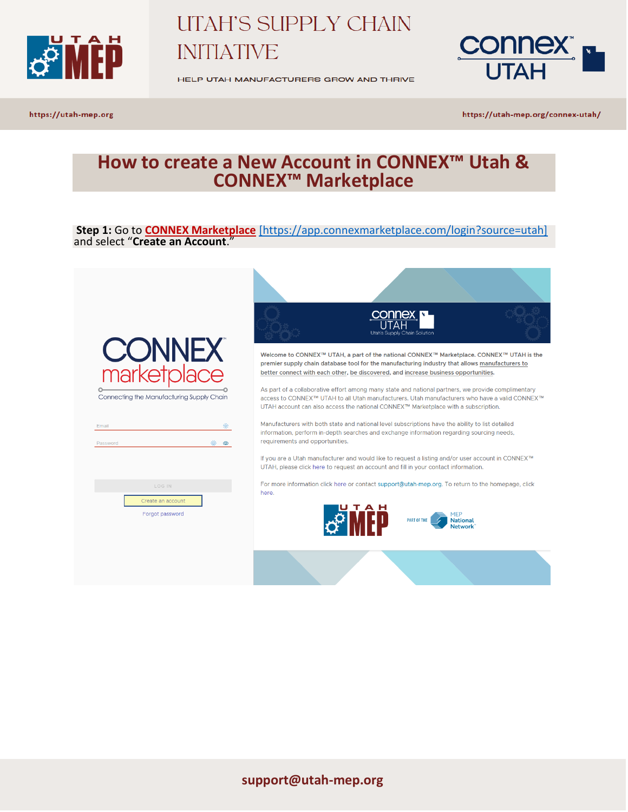

HELP UTAH MANUFACTURERS GROW AND THRIVE



https://utah-mep.org

https://utah-mep.org/connex-utah/

## **How to create a New Account in CONNEX™ Utah & CONNEX™ Marketplace**

**Step 1:** Go to **[CONNEX Marketplace](https://app.connexmarketplace.com/login?source=utah)** [\[https://app.connexmarketplace.com/login?source=utah\]](https://app.connexmarketplace.com/login?source=utah) and select "**Create an Account**."

|                                           | <b>CONNEX</b><br>Utah's Supply Chain Solution                                                                                                                                                                                                                                             |
|-------------------------------------------|-------------------------------------------------------------------------------------------------------------------------------------------------------------------------------------------------------------------------------------------------------------------------------------------|
| <b>CONNEX</b><br>marketplace              | Welcome to CONNEX™ UTAH, a part of the national CONNEX™ Marketplace. CONNEX™ UTAH is the<br>premier supply chain database tool for the manufacturing industry that allows manufacturers to<br>better connect with each other, be discovered, and increase business opportunities.         |
| Connecting the Manufacturing Supply Chain | As part of a collaborative effort among many state and national partners, we provide complimentary<br>access to CONNEX™ UTAH to all Utah manufacturers. Utah manufacturers who have a valid CONNEX™<br>UTAH account can also access the national CONNEX™ Marketplace with a subscription. |
| 漛<br>Email<br>※<br>$\circ$<br>Password    | Manufacturers with both state and national level subscriptions have the ability to list detailed<br>information, perform in-depth searches and exchange information regarding sourcing needs,<br>requirements and opportunities.                                                          |
|                                           | If you are a Utah manufacturer and would like to request a listing and/or user account in CONNEX™<br>UTAH, please click here to request an account and fill in your contact information.                                                                                                  |
| LOG IN<br>Create an account               | For more information click here or contact support@utah-mep.org. To return to the homepage, click<br>here.                                                                                                                                                                                |
| Forgot password                           | <b>National</b><br><b>PART OF THE</b><br><b>Network</b>                                                                                                                                                                                                                                   |
|                                           |                                                                                                                                                                                                                                                                                           |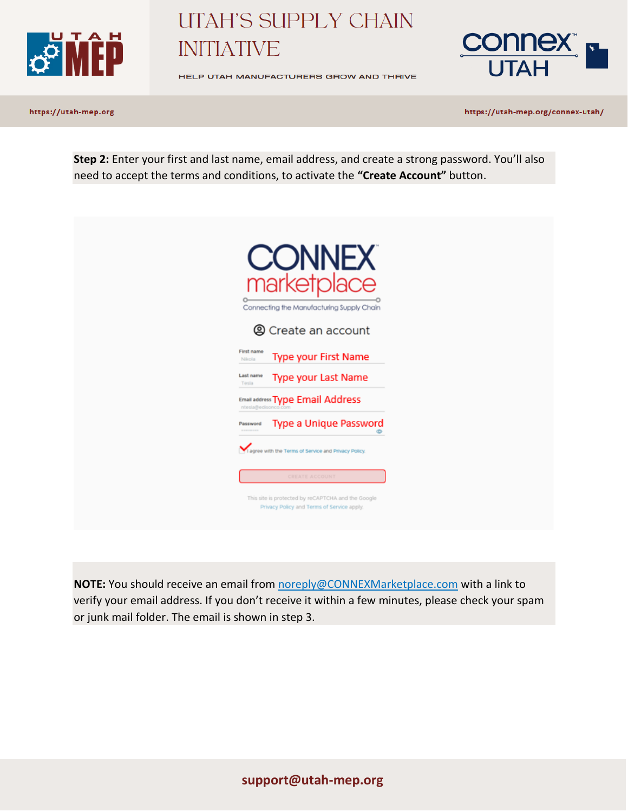

HELP UTAH MANUFACTURERS GROW AND THRIVE



https://utah-mep.org

https://utah-mep.org/connex-utah/

**Step 2:** Enter your first and last name, email address, and create a strong password. You'll also need to accept the terms and conditions, to activate the **"Create Account"** button.

|                       | <b>CONNEX</b><br>marketr                                       |  |
|-----------------------|----------------------------------------------------------------|--|
|                       | Connecting the Manufacturing Supply Chain                      |  |
|                       | <b>@</b> Create an account                                     |  |
| First name<br>Nikola  | Type your First Name                                           |  |
| Last name<br>Tesla    | Type your Last Name                                            |  |
|                       | <b>Email address Type Email Address</b><br>ntesia@edisonco.com |  |
| Password<br>--------- | Type a Unique Password                                         |  |
|                       | ۰<br>agree with the Terms of Service and Privacy Policy.       |  |
|                       | CREATE ACCOUNT                                                 |  |

**NOTE:** You should receive an email from noreply@CONNEXMarketplace.com with a link to verify your email address. If you don't receive it within a few minutes, please check your spam or junk mail folder. The email is shown in step 3.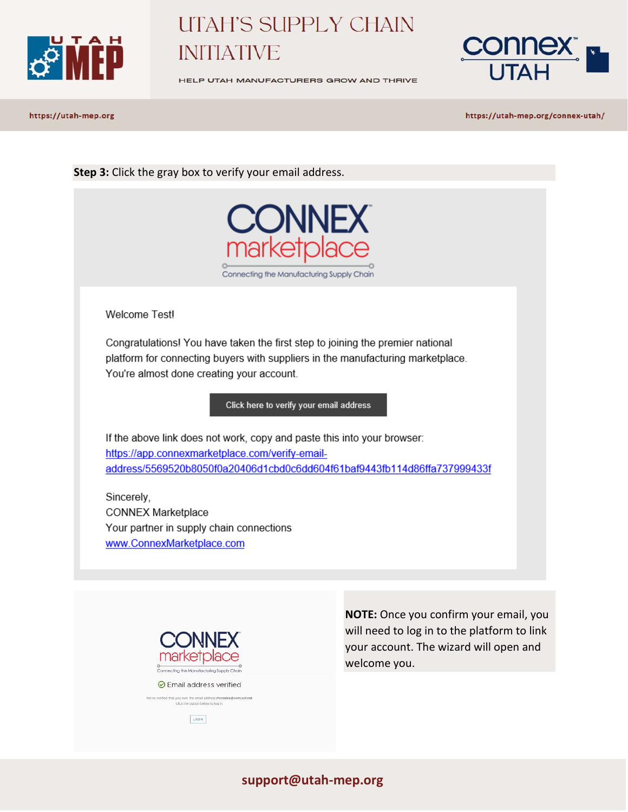



HELP UTAH MANUFACTURERS GROW AND THRIVE

https://utah-mep.org

https://utah-mep.org/connex-utah/

**Step 3:** Click the gray box to verify your email address.



Welcome Testl

Congratulations! You have taken the first step to joining the premier national platform for connecting buyers with suppliers in the manufacturing marketplace. You're almost done creating your account.

Click here to verify your email address

If the above link does not work, copy and paste this into your browser: https://app.connexmarketplace.com/verify-emailaddress/5569520b8050f0a20406d1cbd0c6dd604f61baf9443fb114d86ffa737999433f

Sincerely, **CONNEX Marketplace** Your partner in supply chain connections www.ConnexMarketplace.com



it you own the email address rhcrost<br>Click the button below to log in LOGIN

**NOTE:** Once you confirm your email, you will need to log in to the platform to link your account. The wizard will open and welcome you.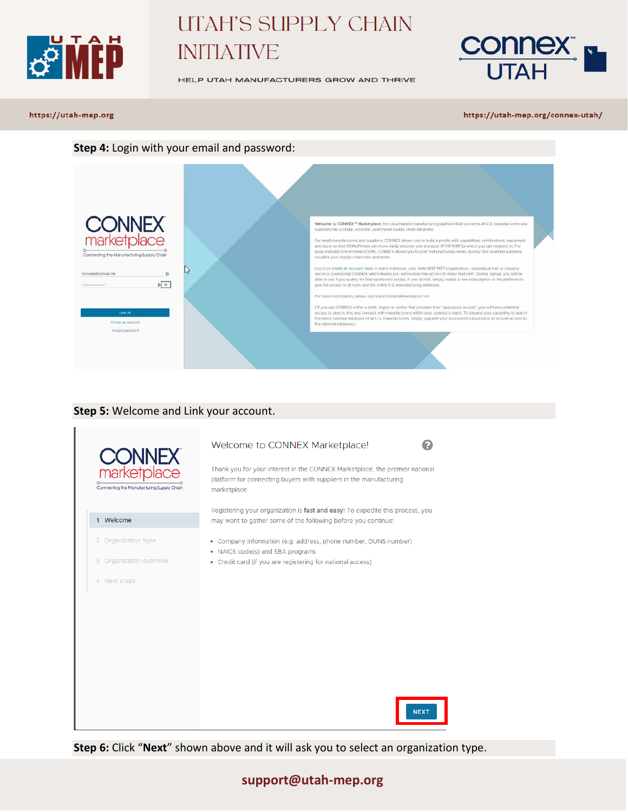

HELP UTAH MANUFACTURERS GROW AND THRIVE



#### https://utah-mep.org

#### https://utah-mep.org/connex-utah/

#### **Step 4:** Login with your email and password:



#### **Step 5:** Welcome and Link your account.



**Step 6:** Click "**Next**" shown above and it will ask you to select an organization type.

#### **support@utah-mep.org**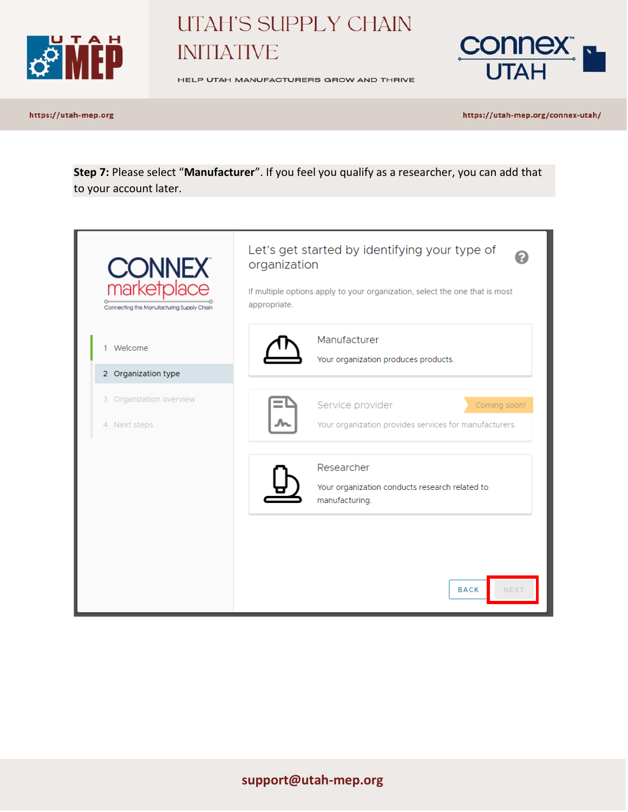

HELP UTAH MANUFACTURERS GROW AND THRIVE



https://utah-mep.org

https://utah-mep.org/connex-utah/

**Step 7:** Please select "**Manufacturer**". If you feel you qualify as a researcher, you can add that to your account later.

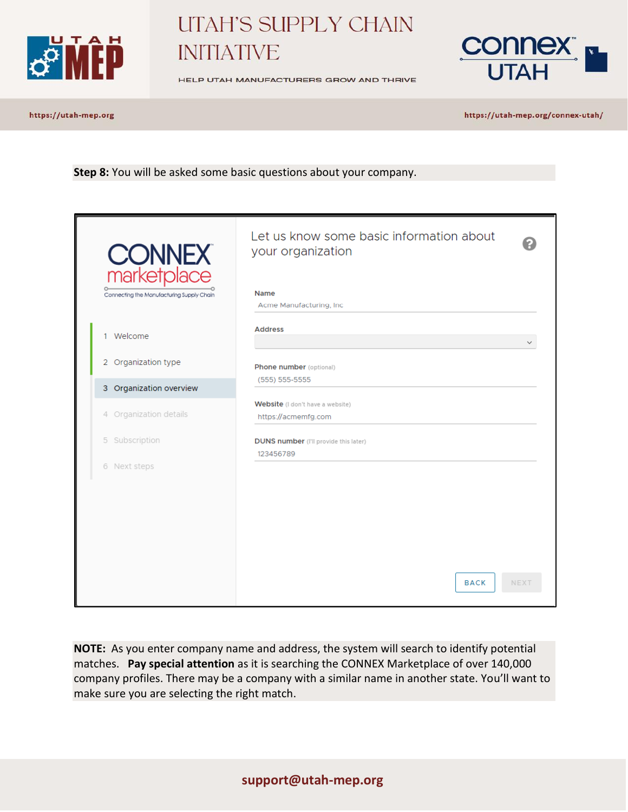



HELP UTAH MANUFACTURERS GROW AND THRIVE

https://utah-mep.org

https://utah-mep.org/connex-utah/

**Step 8:** You will be asked some basic questions about your company.

| <b>CONNEX</b><br>marketplace<br>Connecting the Manufacturing Supply Chain | Let us know some basic information about<br>your organization<br><b>Name</b><br>Acme Manufacturing, Inc. |              |
|---------------------------------------------------------------------------|----------------------------------------------------------------------------------------------------------|--------------|
| 1 Welcome<br>2 Organization type                                          | <b>Address</b><br>Phone number (optional)                                                                | $\checkmark$ |
| 3 Organization overview                                                   | $(555) 555-5555$                                                                                         |              |
| 4 Organization details                                                    | Website (I don't have a website)<br>https://acmemfg.com                                                  |              |
| 5 Subscription                                                            | <b>DUNS number</b> (I'll provide this later)<br>123456789                                                |              |
| 6 Next steps                                                              | <b>BACK</b>                                                                                              | <b>NEXT</b>  |

**NOTE:** As you enter company name and address, the system will search to identify potential matches. **Pay special attention** as it is searching the CONNEX Marketplace of over 140,000 company profiles. There may be a company with a similar name in another state. You'll want to make sure you are selecting the right match.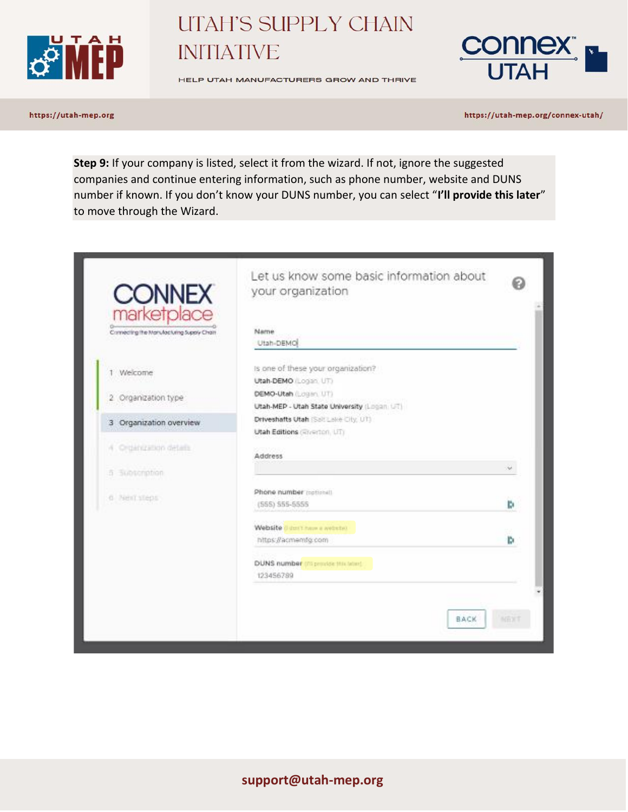

HELP UTAH MANUFACTURERS GROW AND THRIVE



https://utah-mep.org

https://utah-mep.org/connex-utah/

**Step 9:** If your company is listed, select it from the wizard. If not, ignore the suggested companies and continue entering information, such as phone number, website and DUNS number if known. If you don't know your DUNS number, you can select "**I'll provide this later**" to move through the Wizard.

| <b>CONNEX</b><br>marketplace<br>Connecting the Manufacturing Supply Chain | Let us know some basic information about<br>your organization<br>Mame       |      |
|---------------------------------------------------------------------------|-----------------------------------------------------------------------------|------|
|                                                                           | Utah-DEMO                                                                   |      |
| 1 Welcome                                                                 | Is one of these your organization?<br>Utah-DEMO (Logan, UT)                 |      |
| 2 Organization type                                                       | <b>DEMO-Utah (Logan, UT)</b><br>Utah-MEP - Utah State University (Logan UT) |      |
| 3 Organization overview                                                   | Driveshafts Utah (Salt Lake City, UT)<br>Utah Editions (Riverton, UT)       |      |
| 4. Organization details                                                   | <b>Address</b>                                                              |      |
| 5 Subscription                                                            |                                                                             | u    |
| o Nent steps                                                              | Phone number rectionals<br>(555) 555-5555                                   | ь    |
|                                                                           | Website dust have a website?<br>https://acmemfg.com                         | ь    |
|                                                                           | DUNS number on provide this telero-<br>123456789                            |      |
|                                                                           |                                                                             |      |
|                                                                           | <b>BACK</b>                                                                 | NEXT |

### **support@utah-mep.org**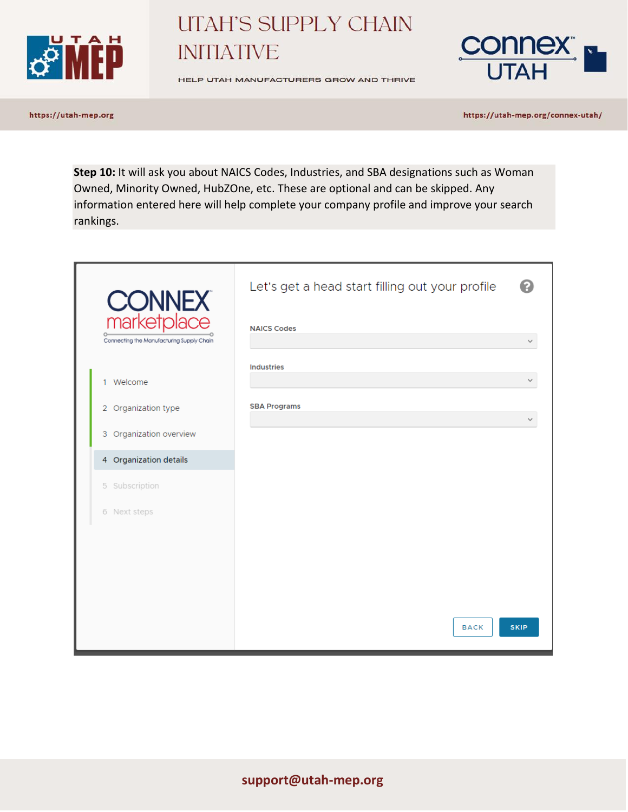



HELP UTAH MANUFACTURERS GROW AND THRIVE

https://utah-mep.org

https://utah-mep.org/connex-utah/

Step 10: It will ask you about NAICS Codes, Industries, and SBA designations such as Woman Owned, Minority Owned, HubZOne, etc. These are optional and can be skipped. Any information entered here will help complete your company profile and improve your search rankings.

| <b>CONNEX</b><br>marketplace              | Let's get a head start filling out your profile |             |
|-------------------------------------------|-------------------------------------------------|-------------|
| Connecting the Manufacturing Supply Chain | <b>NAICS Codes</b>                              |             |
|                                           | <b>Industries</b>                               |             |
| 1 Welcome                                 |                                                 |             |
| 2 Organization type                       | <b>SBA Programs</b>                             |             |
| 3 Organization overview                   |                                                 |             |
| 4 Organization details                    |                                                 |             |
| 5 Subscription                            |                                                 |             |
| 6 Next steps                              |                                                 |             |
|                                           |                                                 |             |
|                                           |                                                 |             |
|                                           |                                                 |             |
|                                           |                                                 |             |
|                                           | <b>BACK</b>                                     | <b>SKIP</b> |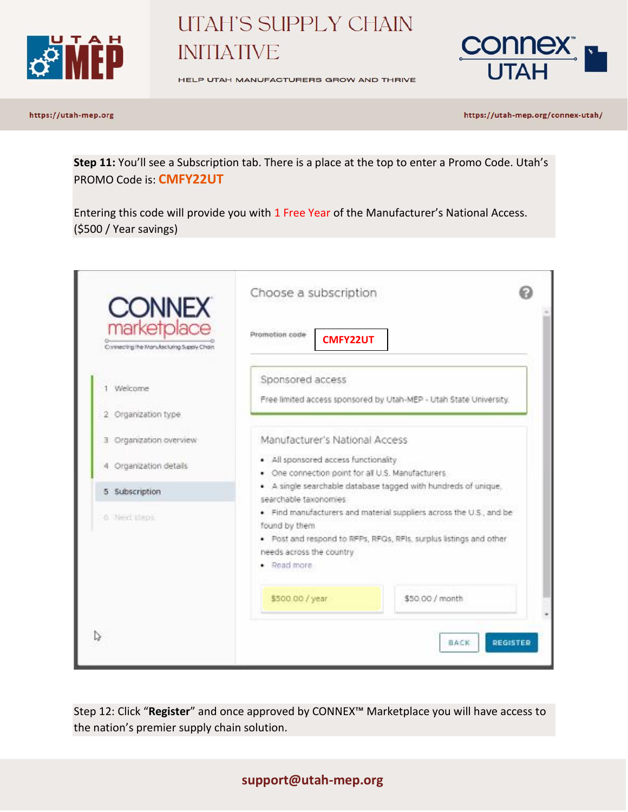



HELP UTAH MANUFACTURERS GROW AND THRIVE

https://utah-mep.org

https://utah-mep.org/connex-utah/

**Step 11:** You'll see a Subscription tab. There is a place at the top to enter a Promo Code. Utah's PROMO Code is: **CMFY22UT**

Entering this code will provide you with 1 Free Year of the Manufacturer's National Access. (\$500 / Year savings)

| <b>CONNEX</b>                                            | Choose a subscription                                                                                                                                                                                 |
|----------------------------------------------------------|-------------------------------------------------------------------------------------------------------------------------------------------------------------------------------------------------------|
| marketplace<br>Connecting the Manufacturing Supply Chain | Promotion code<br><b>CMFY22UT</b>                                                                                                                                                                     |
| 1 Welcome                                                | Sponsored access<br>Free limited access sponsored by Utah-MEP - Utah State University.                                                                                                                |
| 2 Organization type<br>3 Organization overview.          | Manufacturer's National Access                                                                                                                                                                        |
| 4 Organization details                                   | · All sponsored access functionality<br>. One connection point for all U.S. Manufacturers                                                                                                             |
| 5 Subscription                                           | . A single searchable database tagged with hundreds of unique,<br>searchable taxonomies                                                                                                               |
| 6 Next steps                                             | . Find manufacturers and material suppliers across the U.S., and be<br>found by them<br>. Post and respond to RFPs, RFGs, RFIs, surplus listings and other<br>needs across the country<br>· Read more |
|                                                          | \$50.00 / month<br>\$500.00 / year                                                                                                                                                                    |
|                                                          | <b>REGISTER</b><br>BACK                                                                                                                                                                               |

Step 12: Click "**Register**" and once approved by CONNEX™ Marketplace you will have access to the nation's premier supply chain solution.

### **support@utah-mep.org**